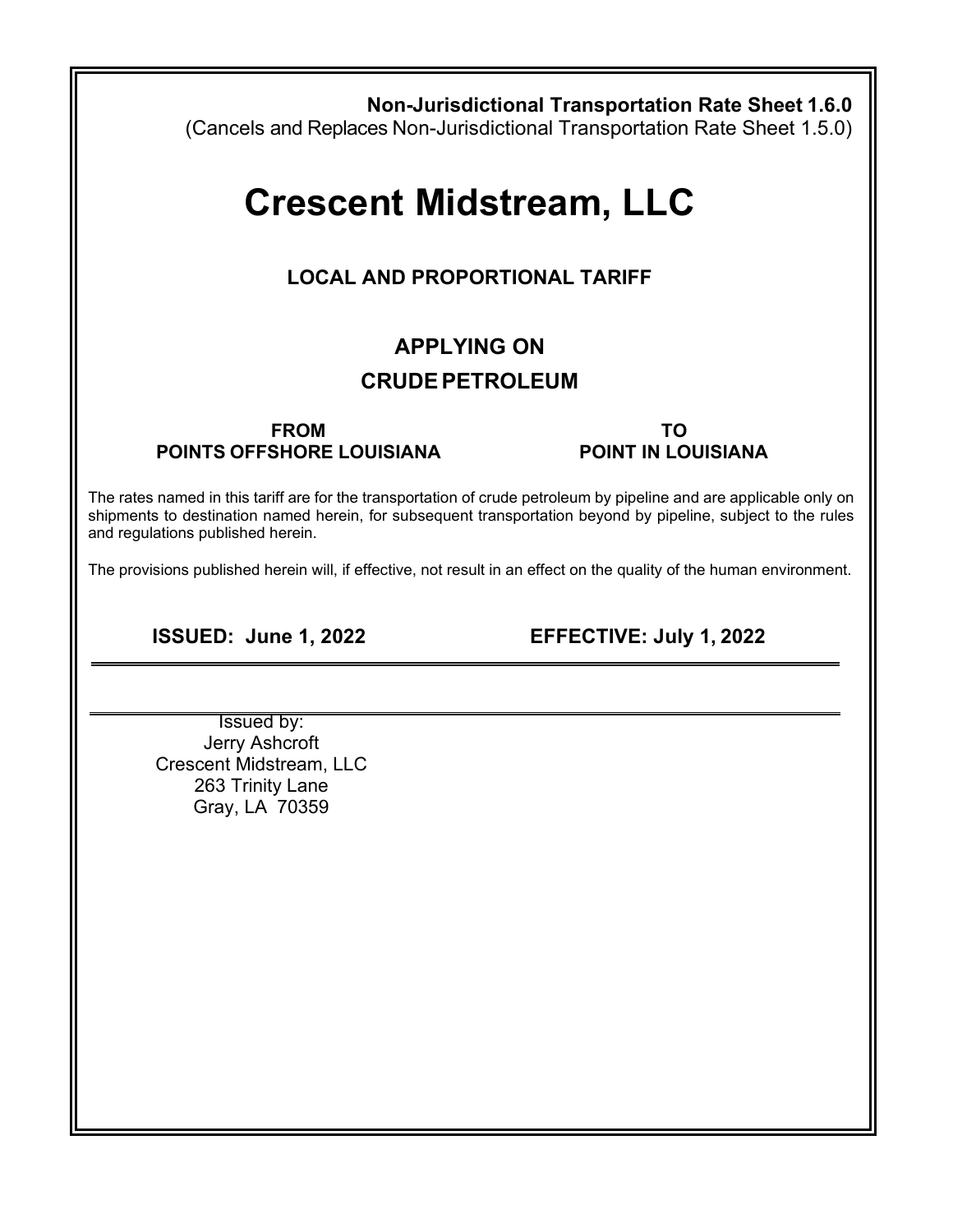| <b>Non-Jurisdictional Transportation Rate Sheet 1.6.0</b><br>(Cancels and Replaces Non-Jurisdictional Transportation Rate Sheet 1.5.0)                                                                                                                                    |                                        |  |  |  |  |  |
|---------------------------------------------------------------------------------------------------------------------------------------------------------------------------------------------------------------------------------------------------------------------------|----------------------------------------|--|--|--|--|--|
| <b>Crescent Midstream, LLC</b>                                                                                                                                                                                                                                            |                                        |  |  |  |  |  |
| <b>LOCAL AND PROPORTIONAL TARIFF</b>                                                                                                                                                                                                                                      |                                        |  |  |  |  |  |
| <b>APPLYING ON</b>                                                                                                                                                                                                                                                        |                                        |  |  |  |  |  |
| <b>CRUDE PETROLEUM</b>                                                                                                                                                                                                                                                    |                                        |  |  |  |  |  |
| <b>FROM</b><br><b>POINTS OFFSHORE LOUISIANA</b>                                                                                                                                                                                                                           | <b>TO</b><br><b>POINT IN LOUISIANA</b> |  |  |  |  |  |
| The rates named in this tariff are for the transportation of crude petroleum by pipeline and are applicable only on<br>shipments to destination named herein, for subsequent transportation beyond by pipeline, subject to the rules<br>and regulations published herein. |                                        |  |  |  |  |  |
| The provisions published herein will, if effective, not result in an effect on the quality of the human environment.                                                                                                                                                      |                                        |  |  |  |  |  |
| <b>ISSUED: June 1, 2022</b>                                                                                                                                                                                                                                               | EFFECTIVE: July 1, 2022                |  |  |  |  |  |
| Issued by:<br>Jerry Ashcroft<br>Crescent Midstream, LLC<br>263 Trinity Lane<br>Gray, LA 70359                                                                                                                                                                             |                                        |  |  |  |  |  |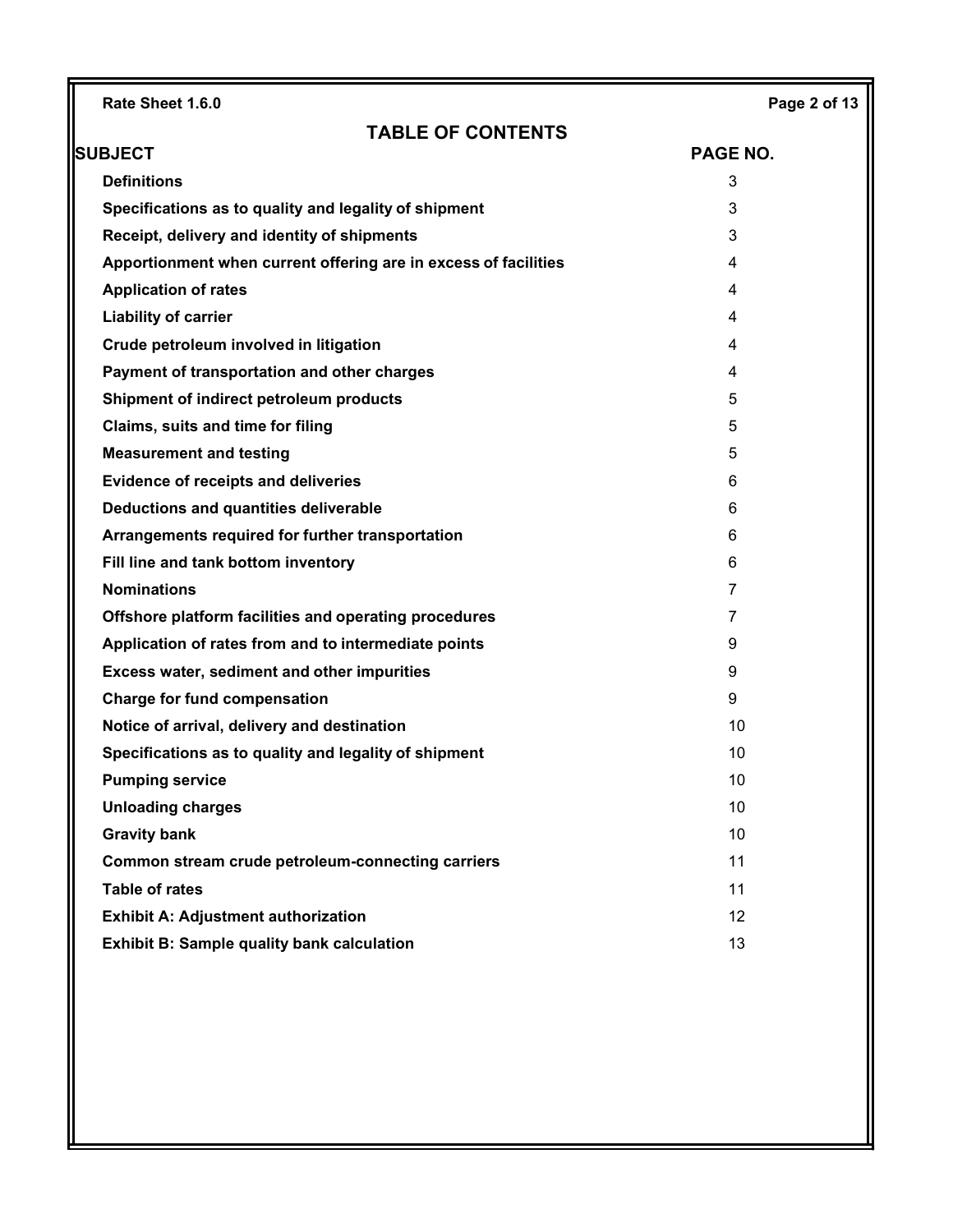| Rate Sheet 1.6.0                                                | Page 2 of 13    |  |  |
|-----------------------------------------------------------------|-----------------|--|--|
| <b>TABLE OF CONTENTS</b>                                        |                 |  |  |
| <b>SUBJECT</b>                                                  | <b>PAGE NO.</b> |  |  |
| <b>Definitions</b>                                              | 3               |  |  |
| Specifications as to quality and legality of shipment           | 3               |  |  |
| Receipt, delivery and identity of shipments                     | 3               |  |  |
| Apportionment when current offering are in excess of facilities | 4               |  |  |
| <b>Application of rates</b>                                     | 4               |  |  |
| <b>Liability of carrier</b>                                     | 4               |  |  |
| Crude petroleum involved in litigation                          | 4               |  |  |
| Payment of transportation and other charges                     | 4               |  |  |
| Shipment of indirect petroleum products                         | 5               |  |  |
| Claims, suits and time for filing                               | 5               |  |  |
| <b>Measurement and testing</b>                                  | 5               |  |  |
| <b>Evidence of receipts and deliveries</b>                      | 6               |  |  |
| Deductions and quantities deliverable                           | 6               |  |  |
| Arrangements required for further transportation                | 6               |  |  |
| Fill line and tank bottom inventory                             | 6               |  |  |
| <b>Nominations</b>                                              | 7               |  |  |
| Offshore platform facilities and operating procedures           | 7               |  |  |
| Application of rates from and to intermediate points            | 9               |  |  |
| Excess water, sediment and other impurities                     | 9               |  |  |
| <b>Charge for fund compensation</b>                             | 9               |  |  |
| Notice of arrival, delivery and destination                     | 10              |  |  |
| Specifications as to quality and legality of shipment           | 10              |  |  |
| <b>Pumping service</b>                                          | 10              |  |  |
| <b>Unloading charges</b>                                        | 10              |  |  |
| <b>Gravity bank</b>                                             | 10              |  |  |
| Common stream crude petroleum-connecting carriers               | 11              |  |  |
| <b>Table of rates</b>                                           | 11              |  |  |
| <b>Exhibit A: Adjustment authorization</b>                      | 12              |  |  |
| <b>Exhibit B: Sample quality bank calculation</b>               | 13              |  |  |
|                                                                 |                 |  |  |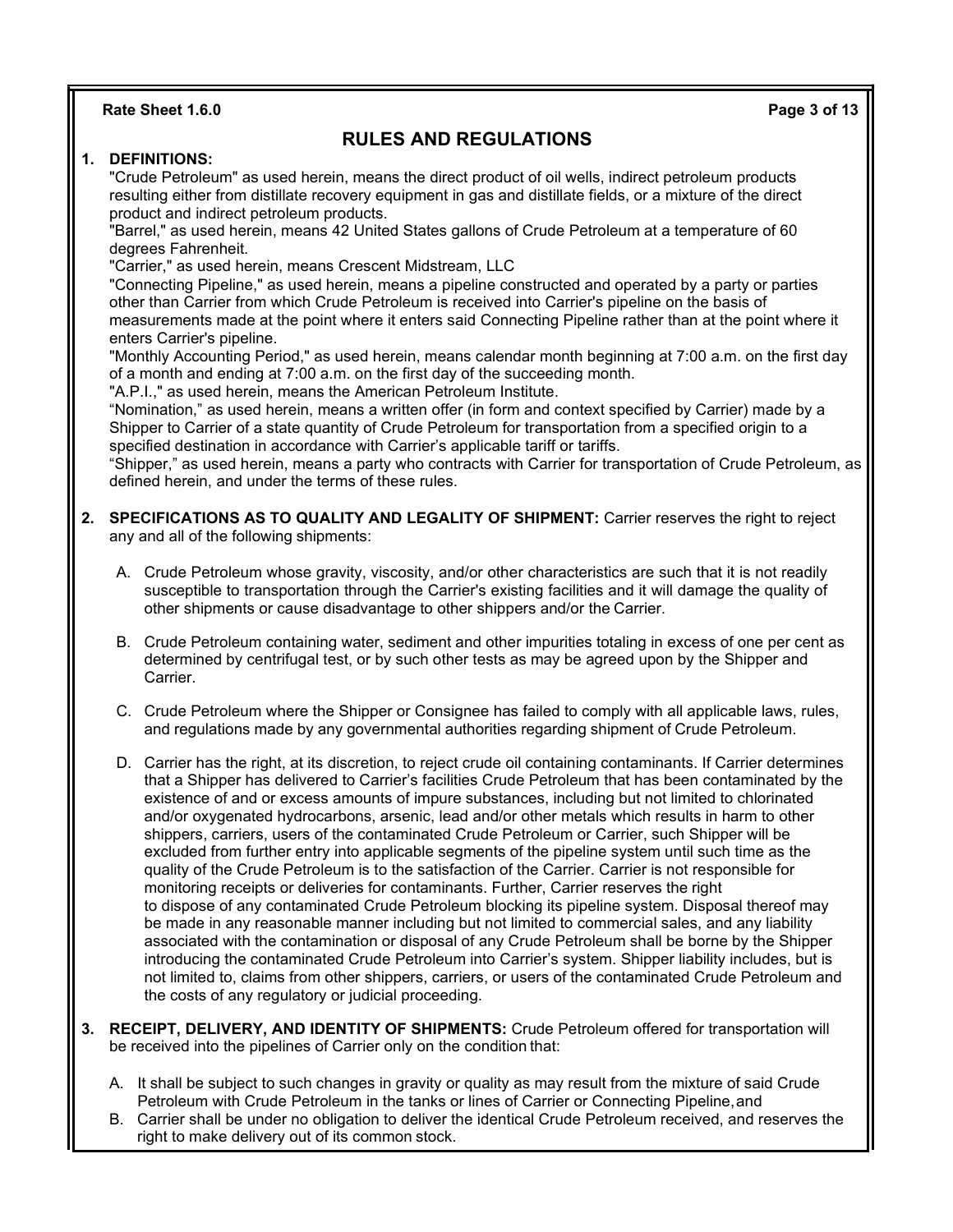**Rate Sheet 1.6.0 Page 3 of 13**

# **RULES AND REGULATIONS**

## **1. DEFINITIONS:**

"Crude Petroleum" as used herein, means the direct product of oil wells, indirect petroleum products resulting either from distillate recovery equipment in gas and distillate fields, or a mixture of the direct product and indirect petroleum products.

"Barrel," as used herein, means 42 United States gallons of Crude Petroleum at a temperature of 60 degrees Fahrenheit.

"Carrier," as used herein, means Crescent Midstream, LLC

"Connecting Pipeline," as used herein, means a pipeline constructed and operated by a party or parties other than Carrier from which Crude Petroleum is received into Carrier's pipeline on the basis of measurements made at the point where it enters said Connecting Pipeline rather than at the point where it enters Carrier's pipeline.

"Monthly Accounting Period," as used herein, means calendar month beginning at 7:00 a.m. on the first day of a month and ending at 7:00 a.m. on the first day of the succeeding month.

"A.P.I.," as used herein, means the American Petroleum Institute.

"Nomination," as used herein, means a written offer (in form and context specified by Carrier) made by a Shipper to Carrier of a state quantity of Crude Petroleum for transportation from a specified origin to a specified destination in accordance with Carrier's applicable tariff or tariffs.

"Shipper," as used herein, means a party who contracts with Carrier for transportation of Crude Petroleum, as defined herein, and under the terms of these rules.

- **2. SPECIFICATIONS AS TO QUALITY AND LEGALITY OF SHIPMENT:** Carrier reserves the right to reject any and all of the following shipments:
	- A. Crude Petroleum whose gravity, viscosity, and/or other characteristics are such that it is not readily susceptible to transportation through the Carrier's existing facilities and it will damage the quality of other shipments or cause disadvantage to other shippers and/or the Carrier.
	- B. Crude Petroleum containing water, sediment and other impurities totaling in excess of one per cent as determined by centrifugal test, or by such other tests as may be agreed upon by the Shipper and Carrier.
	- C. Crude Petroleum where the Shipper or Consignee has failed to comply with all applicable laws, rules, and regulations made by any governmental authorities regarding shipment of Crude Petroleum.
	- D. Carrier has the right, at its discretion, to reject crude oil containing contaminants. If Carrier determines that a Shipper has delivered to Carrier's facilities Crude Petroleum that has been contaminated by the existence of and or excess amounts of impure substances, including but not limited to chlorinated and/or oxygenated hydrocarbons, arsenic, lead and/or other metals which results in harm to other shippers, carriers, users of the contaminated Crude Petroleum or Carrier, such Shipper will be excluded from further entry into applicable segments of the pipeline system until such time as the quality of the Crude Petroleum is to the satisfaction of the Carrier. Carrier is not responsible for monitoring receipts or deliveries for contaminants. Further, Carrier reserves the right to dispose of any contaminated Crude Petroleum blocking its pipeline system. Disposal thereof may be made in any reasonable manner including but not limited to commercial sales, and any liability associated with the contamination or disposal of any Crude Petroleum shall be borne by the Shipper introducing the contaminated Crude Petroleum into Carrier's system. Shipper liability includes, but is not limited to, claims from other shippers, carriers, or users of the contaminated Crude Petroleum and the costs of any regulatory or judicial proceeding.
- **3. RECEIPT, DELIVERY, AND IDENTITY OF SHIPMENTS:** Crude Petroleum offered for transportation will be received into the pipelines of Carrier only on the condition that:
	- A. It shall be subject to such changes in gravity or quality as may result from the mixture of said Crude Petroleum with Crude Petroleum in the tanks or lines of Carrier or Connecting Pipeline,and
	- B. Carrier shall be under no obligation to deliver the identical Crude Petroleum received, and reserves the right to make delivery out of its common stock.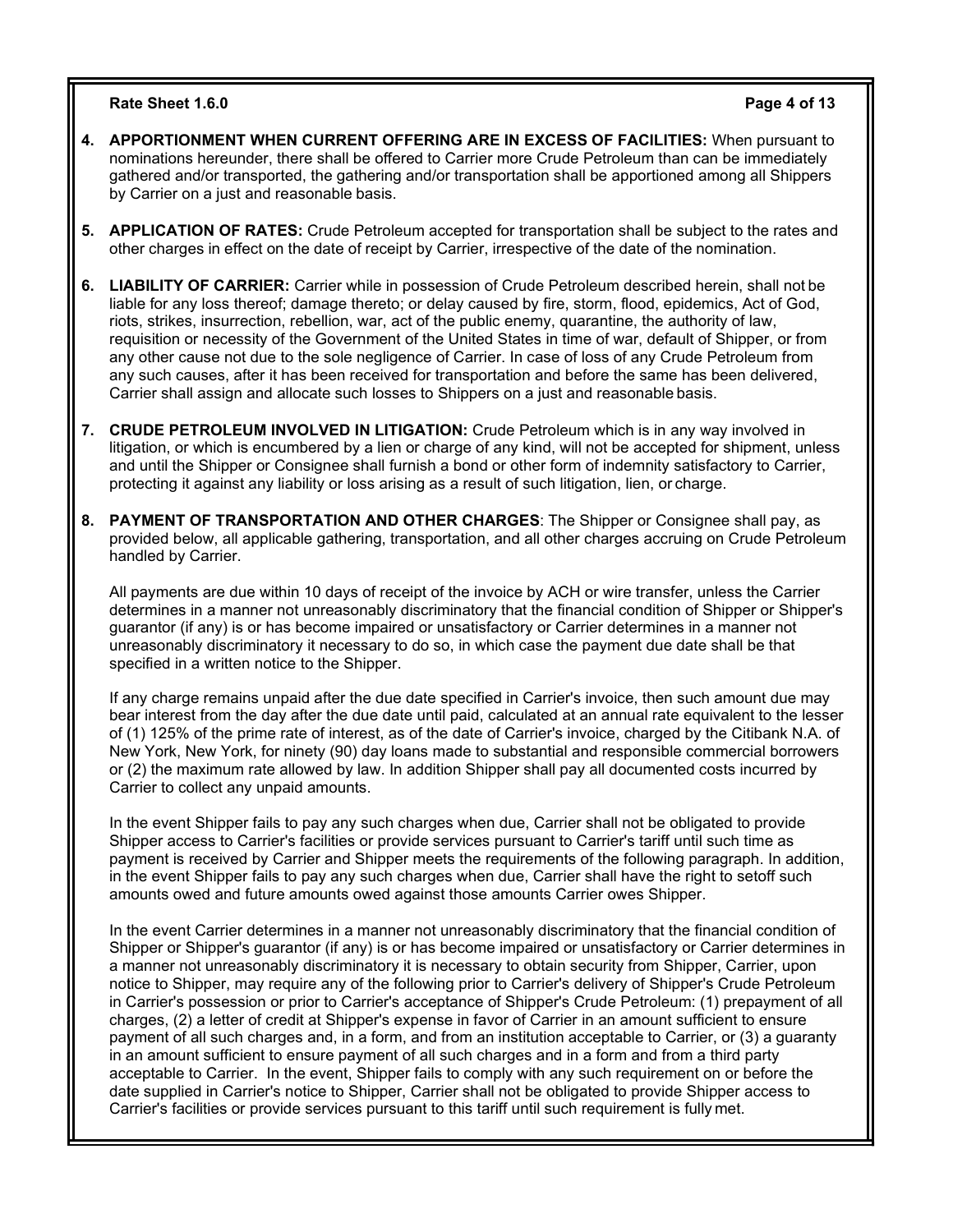## **Rate Sheet 1.6.0 Page 4 of 13**

- **4. APPORTIONMENT WHEN CURRENT OFFERING ARE IN EXCESS OF FACILITIES:** When pursuant to nominations hereunder, there shall be offered to Carrier more Crude Petroleum than can be immediately gathered and/or transported, the gathering and/or transportation shall be apportioned among all Shippers by Carrier on a just and reasonable basis.
- **5. APPLICATION OF RATES:** Crude Petroleum accepted for transportation shall be subject to the rates and other charges in effect on the date of receipt by Carrier, irrespective of the date of the nomination.
- **6. LIABILITY OF CARRIER:** Carrier while in possession of Crude Petroleum described herein, shall not be liable for any loss thereof; damage thereto; or delay caused by fire, storm, flood, epidemics, Act of God, riots, strikes, insurrection, rebellion, war, act of the public enemy, quarantine, the authority of law, requisition or necessity of the Government of the United States in time of war, default of Shipper, or from any other cause not due to the sole negligence of Carrier. In case of loss of any Crude Petroleum from any such causes, after it has been received for transportation and before the same has been delivered, Carrier shall assign and allocate such losses to Shippers on a just and reasonable basis.
- **7. CRUDE PETROLEUM INVOLVED IN LITIGATION:** Crude Petroleum which is in any way involved in litigation, or which is encumbered by a lien or charge of any kind, will not be accepted for shipment, unless and until the Shipper or Consignee shall furnish a bond or other form of indemnity satisfactory to Carrier, protecting it against any liability or loss arising as a result of such litigation, lien, or charge.
- **8. PAYMENT OF TRANSPORTATION AND OTHER CHARGES**: The Shipper or Consignee shall pay, as provided below, all applicable gathering, transportation, and all other charges accruing on Crude Petroleum handled by Carrier.

All payments are due within 10 days of receipt of the invoice by ACH or wire transfer, unless the Carrier determines in a manner not unreasonably discriminatory that the financial condition of Shipper or Shipper's guarantor (if any) is or has become impaired or unsatisfactory or Carrier determines in a manner not unreasonably discriminatory it necessary to do so, in which case the payment due date shall be that specified in a written notice to the Shipper.

If any charge remains unpaid after the due date specified in Carrier's invoice, then such amount due may bear interest from the day after the due date until paid, calculated at an annual rate equivalent to the lesser of (1) 125% of the prime rate of interest, as of the date of Carrier's invoice, charged by the Citibank N.A. of New York, New York, for ninety (90) day loans made to substantial and responsible commercial borrowers or (2) the maximum rate allowed by law. In addition Shipper shall pay all documented costs incurred by Carrier to collect any unpaid amounts.

In the event Shipper fails to pay any such charges when due, Carrier shall not be obligated to provide Shipper access to Carrier's facilities or provide services pursuant to Carrier's tariff until such time as payment is received by Carrier and Shipper meets the requirements of the following paragraph. In addition, in the event Shipper fails to pay any such charges when due, Carrier shall have the right to setoff such amounts owed and future amounts owed against those amounts Carrier owes Shipper.

In the event Carrier determines in a manner not unreasonably discriminatory that the financial condition of Shipper or Shipper's guarantor (if any) is or has become impaired or unsatisfactory or Carrier determines in a manner not unreasonably discriminatory it is necessary to obtain security from Shipper, Carrier, upon notice to Shipper, may require any of the following prior to Carrier's delivery of Shipper's Crude Petroleum in Carrier's possession or prior to Carrier's acceptance of Shipper's Crude Petroleum: (1) prepayment of all charges, (2) a letter of credit at Shipper's expense in favor of Carrier in an amount sufficient to ensure payment of all such charges and, in a form, and from an institution acceptable to Carrier, or (3) a guaranty in an amount sufficient to ensure payment of all such charges and in a form and from a third party acceptable to Carrier. In the event, Shipper fails to comply with any such requirement on or before the date supplied in Carrier's notice to Shipper, Carrier shall not be obligated to provide Shipper access to Carrier's facilities or provide services pursuant to this tariff until such requirement is fully met.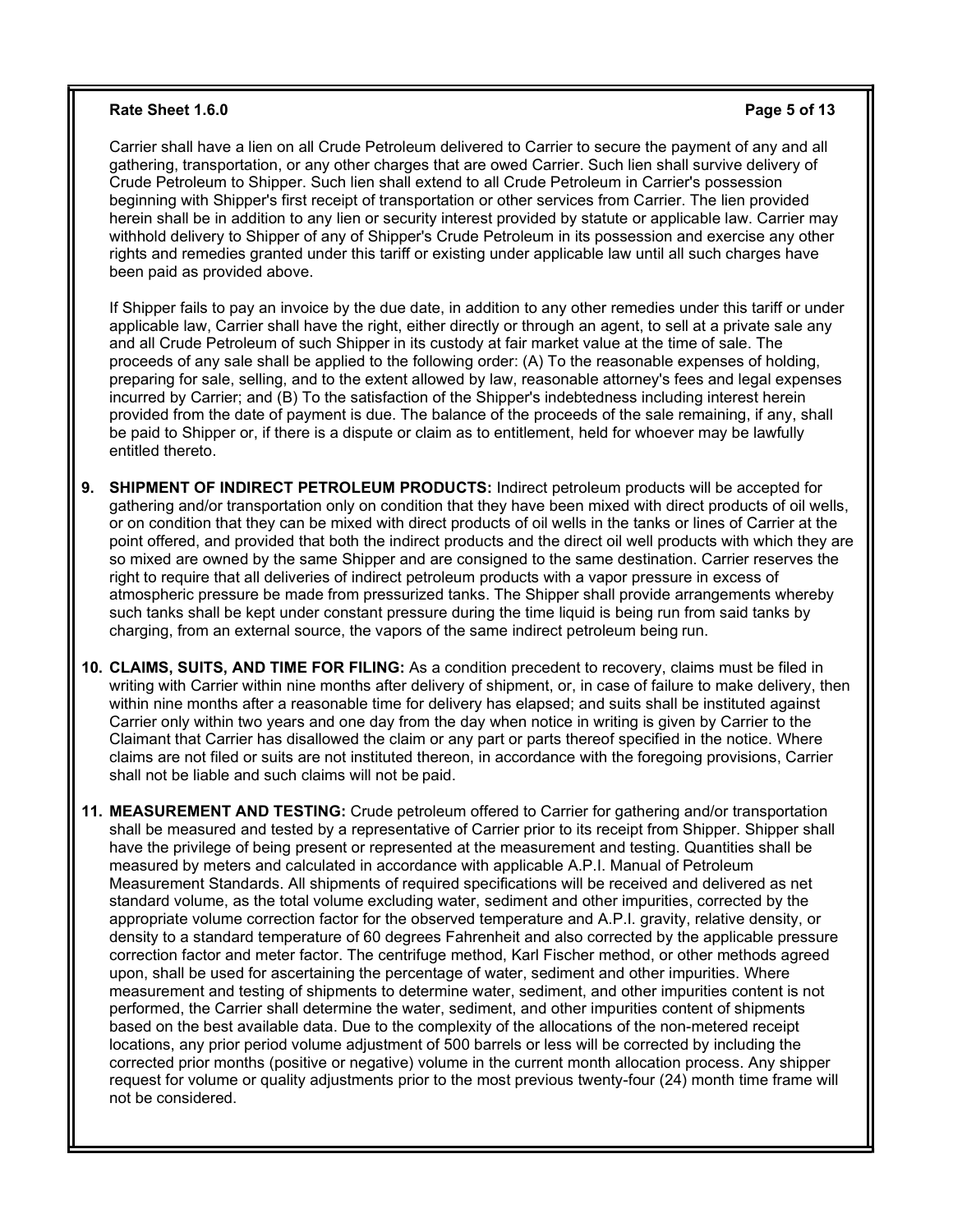#### **Rate Sheet 1.6.0 Page 5 of 13**

Carrier shall have a lien on all Crude Petroleum delivered to Carrier to secure the payment of any and all gathering, transportation, or any other charges that are owed Carrier. Such lien shall survive delivery of Crude Petroleum to Shipper. Such lien shall extend to all Crude Petroleum in Carrier's possession beginning with Shipper's first receipt of transportation or other services from Carrier. The lien provided herein shall be in addition to any lien or security interest provided by statute or applicable law. Carrier may withhold delivery to Shipper of any of Shipper's Crude Petroleum in its possession and exercise any other rights and remedies granted under this tariff or existing under applicable law until all such charges have been paid as provided above.

If Shipper fails to pay an invoice by the due date, in addition to any other remedies under this tariff or under applicable law, Carrier shall have the right, either directly or through an agent, to sell at a private sale any and all Crude Petroleum of such Shipper in its custody at fair market value at the time of sale. The proceeds of any sale shall be applied to the following order: (A) To the reasonable expenses of holding, preparing for sale, selling, and to the extent allowed by law, reasonable attorney's fees and legal expenses incurred by Carrier; and (B) To the satisfaction of the Shipper's indebtedness including interest herein provided from the date of payment is due. The balance of the proceeds of the sale remaining, if any, shall be paid to Shipper or, if there is a dispute or claim as to entitlement, held for whoever may be lawfully entitled thereto.

- **9. SHIPMENT OF INDIRECT PETROLEUM PRODUCTS:** Indirect petroleum products will be accepted for gathering and/or transportation only on condition that they have been mixed with direct products of oil wells, or on condition that they can be mixed with direct products of oil wells in the tanks or lines of Carrier at the point offered, and provided that both the indirect products and the direct oil well products with which they are so mixed are owned by the same Shipper and are consigned to the same destination. Carrier reserves the right to require that all deliveries of indirect petroleum products with a vapor pressure in excess of atmospheric pressure be made from pressurized tanks. The Shipper shall provide arrangements whereby such tanks shall be kept under constant pressure during the time liquid is being run from said tanks by charging, from an external source, the vapors of the same indirect petroleum being run.
- **10. CLAIMS, SUITS, AND TIME FOR FILING:** As a condition precedent to recovery, claims must be filed in writing with Carrier within nine months after delivery of shipment, or, in case of failure to make delivery, then within nine months after a reasonable time for delivery has elapsed; and suits shall be instituted against Carrier only within two years and one day from the day when notice in writing is given by Carrier to the Claimant that Carrier has disallowed the claim or any part or parts thereof specified in the notice. Where claims are not filed or suits are not instituted thereon, in accordance with the foregoing provisions, Carrier shall not be liable and such claims will not be paid.

**11. MEASUREMENT AND TESTING:** Crude petroleum offered to Carrier for gathering and/or transportation shall be measured and tested by a representative of Carrier prior to its receipt from Shipper. Shipper shall have the privilege of being present or represented at the measurement and testing. Quantities shall be measured by meters and calculated in accordance with applicable A.P.I. Manual of Petroleum Measurement Standards. All shipments of required specifications will be received and delivered as net standard volume, as the total volume excluding water, sediment and other impurities, corrected by the appropriate volume correction factor for the observed temperature and A.P.I. gravity, relative density, or density to a standard temperature of 60 degrees Fahrenheit and also corrected by the applicable pressure correction factor and meter factor. The centrifuge method, Karl Fischer method, or other methods agreed upon, shall be used for ascertaining the percentage of water, sediment and other impurities. Where measurement and testing of shipments to determine water, sediment, and other impurities content is not performed, the Carrier shall determine the water, sediment, and other impurities content of shipments based on the best available data. Due to the complexity of the allocations of the non-metered receipt locations, any prior period volume adjustment of 500 barrels or less will be corrected by including the corrected prior months (positive or negative) volume in the current month allocation process. Any shipper request for volume or quality adjustments prior to the most previous twenty-four (24) month time frame will not be considered.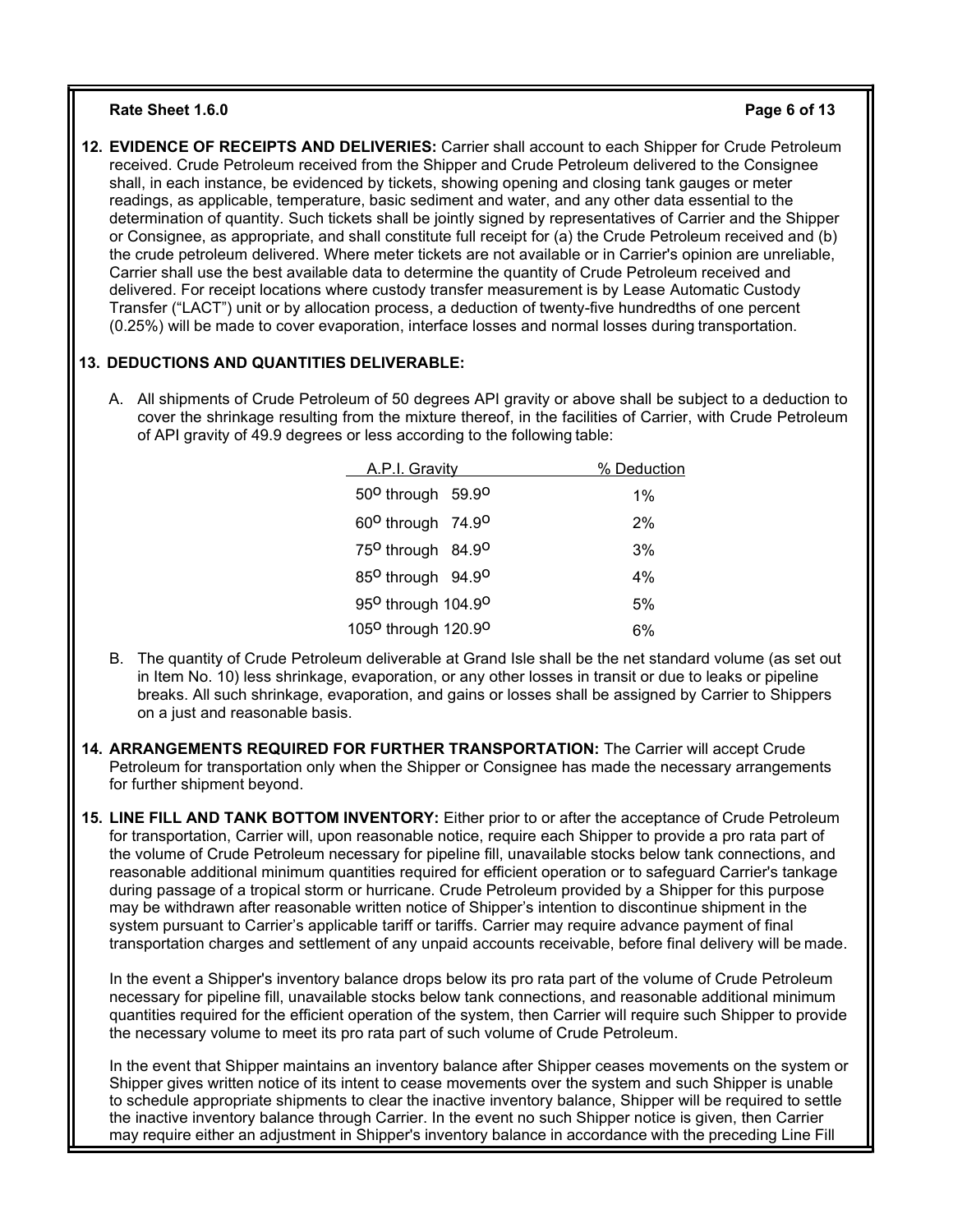### **Rate Sheet 1.6.0 Page 6 of 13**

**12. EVIDENCE OF RECEIPTS AND DELIVERIES:** Carrier shall account to each Shipper for Crude Petroleum received. Crude Petroleum received from the Shipper and Crude Petroleum delivered to the Consignee shall, in each instance, be evidenced by tickets, showing opening and closing tank gauges or meter readings, as applicable, temperature, basic sediment and water, and any other data essential to the determination of quantity. Such tickets shall be jointly signed by representatives of Carrier and the Shipper or Consignee, as appropriate, and shall constitute full receipt for (a) the Crude Petroleum received and (b) the crude petroleum delivered. Where meter tickets are not available or in Carrier's opinion are unreliable, Carrier shall use the best available data to determine the quantity of Crude Petroleum received and delivered. For receipt locations where custody transfer measurement is by Lease Automatic Custody Transfer ("LACT") unit or by allocation process, a deduction of twenty-five hundredths of one percent (0.25%) will be made to cover evaporation, interface losses and normal losses during transportation.

# **13. DEDUCTIONS AND QUANTITIES DELIVERABLE:**

A. All shipments of Crude Petroleum of 50 degrees API gravity or above shall be subject to a deduction to cover the shrinkage resulting from the mixture thereof, in the facilities of Carrier, with Crude Petroleum of API gravity of 49.9 degrees or less according to the following table:

| A.P.I. Gravity                              | % Deduction |  |  |
|---------------------------------------------|-------------|--|--|
| 50 <sup>o</sup> through 59.9 <sup>o</sup>   | $1\%$       |  |  |
| 60 <sup>o</sup> through 74.9 <sup>o</sup>   | 2%          |  |  |
| 75 <sup>0</sup> through 84.9 <sup>0</sup>   | 3%          |  |  |
| 85 <sup>o</sup> through 94.9 <sup>o</sup>   | 4%          |  |  |
| 95 <sup>0</sup> through 104.9 <sup>0</sup>  | 5%          |  |  |
| 105 <sup>0</sup> through 120.9 <sup>0</sup> | 6%          |  |  |

- B. The quantity of Crude Petroleum deliverable at Grand Isle shall be the net standard volume (as set out in Item No. 10) less shrinkage, evaporation, or any other losses in transit or due to leaks or pipeline breaks. All such shrinkage, evaporation, and gains or losses shall be assigned by Carrier to Shippers on a just and reasonable basis.
- **14. ARRANGEMENTS REQUIRED FOR FURTHER TRANSPORTATION:** The Carrier will accept Crude Petroleum for transportation only when the Shipper or Consignee has made the necessary arrangements for further shipment beyond.
- **15. LINE FILL AND TANK BOTTOM INVENTORY:** Either prior to or after the acceptance of Crude Petroleum for transportation, Carrier will, upon reasonable notice, require each Shipper to provide a pro rata part of the volume of Crude Petroleum necessary for pipeline fill, unavailable stocks below tank connections, and reasonable additional minimum quantities required for efficient operation or to safeguard Carrier's tankage during passage of a tropical storm or hurricane. Crude Petroleum provided by a Shipper for this purpose may be withdrawn after reasonable written notice of Shipper's intention to discontinue shipment in the system pursuant to Carrier's applicable tariff or tariffs. Carrier may require advance payment of final transportation charges and settlement of any unpaid accounts receivable, before final delivery will be made.

In the event a Shipper's inventory balance drops below its pro rata part of the volume of Crude Petroleum necessary for pipeline fill, unavailable stocks below tank connections, and reasonable additional minimum quantities required for the efficient operation of the system, then Carrier will require such Shipper to provide the necessary volume to meet its pro rata part of such volume of Crude Petroleum.

In the event that Shipper maintains an inventory balance after Shipper ceases movements on the system or Shipper gives written notice of its intent to cease movements over the system and such Shipper is unable to schedule appropriate shipments to clear the inactive inventory balance, Shipper will be required to settle the inactive inventory balance through Carrier. In the event no such Shipper notice is given, then Carrier may require either an adjustment in Shipper's inventory balance in accordance with the preceding Line Fill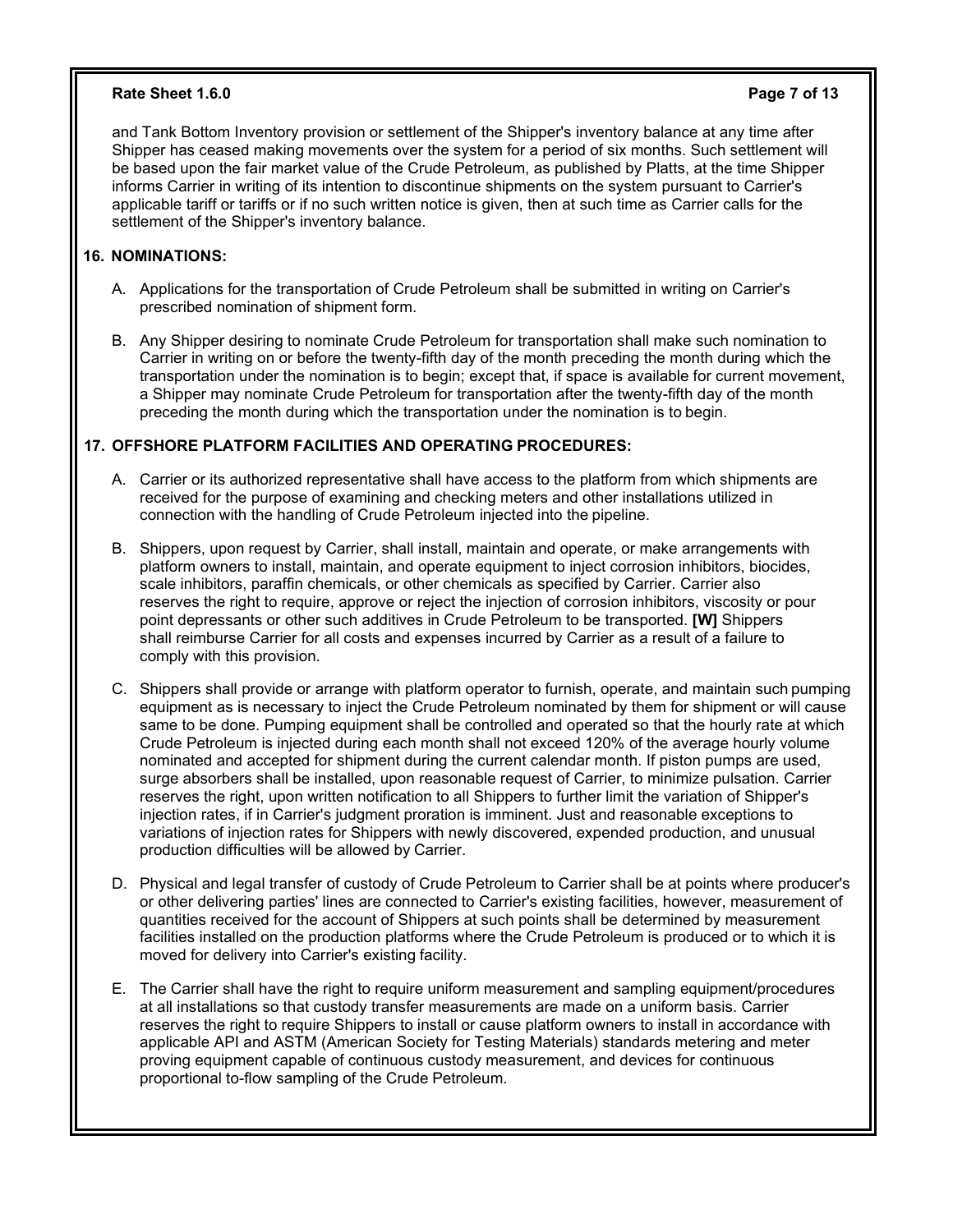### **Rate Sheet 1.6.0 Page 7 of 13**

and Tank Bottom Inventory provision or settlement of the Shipper's inventory balance at any time after Shipper has ceased making movements over the system for a period of six months. Such settlement will be based upon the fair market value of the Crude Petroleum, as published by Platts, at the time Shipper informs Carrier in writing of its intention to discontinue shipments on the system pursuant to Carrier's applicable tariff or tariffs or if no such written notice is given, then at such time as Carrier calls for the settlement of the Shipper's inventory balance.

# **16. NOMINATIONS:**

- A. Applications for the transportation of Crude Petroleum shall be submitted in writing on Carrier's prescribed nomination of shipment form.
- B. Any Shipper desiring to nominate Crude Petroleum for transportation shall make such nomination to Carrier in writing on or before the twenty-fifth day of the month preceding the month during which the transportation under the nomination is to begin; except that, if space is available for current movement, a Shipper may nominate Crude Petroleum for transportation after the twenty-fifth day of the month preceding the month during which the transportation under the nomination is to begin.

## **17. OFFSHORE PLATFORM FACILITIES AND OPERATING PROCEDURES:**

- A. Carrier or its authorized representative shall have access to the platform from which shipments are received for the purpose of examining and checking meters and other installations utilized in connection with the handling of Crude Petroleum injected into the pipeline.
- B. Shippers, upon request by Carrier, shall install, maintain and operate, or make arrangements with platform owners to install, maintain, and operate equipment to inject corrosion inhibitors, biocides, scale inhibitors, paraffin chemicals, or other chemicals as specified by Carrier. Carrier also reserves the right to require, approve or reject the injection of corrosion inhibitors, viscosity or pour point depressants or other such additives in Crude Petroleum to be transported. **[W]** Shippers shall reimburse Carrier for all costs and expenses incurred by Carrier as a result of a failure to comply with this provision.
- C. Shippers shall provide or arrange with platform operator to furnish, operate, and maintain such pumping equipment as is necessary to inject the Crude Petroleum nominated by them for shipment or will cause same to be done. Pumping equipment shall be controlled and operated so that the hourly rate at which Crude Petroleum is injected during each month shall not exceed 120% of the average hourly volume nominated and accepted for shipment during the current calendar month. If piston pumps are used, surge absorbers shall be installed, upon reasonable request of Carrier, to minimize pulsation. Carrier reserves the right, upon written notification to all Shippers to further limit the variation of Shipper's injection rates, if in Carrier's judgment proration is imminent. Just and reasonable exceptions to variations of injection rates for Shippers with newly discovered, expended production, and unusual production difficulties will be allowed by Carrier.
- D. Physical and legal transfer of custody of Crude Petroleum to Carrier shall be at points where producer's or other delivering parties' lines are connected to Carrier's existing facilities, however, measurement of quantities received for the account of Shippers at such points shall be determined by measurement facilities installed on the production platforms where the Crude Petroleum is produced or to which it is moved for delivery into Carrier's existing facility.
- E. The Carrier shall have the right to require uniform measurement and sampling equipment/procedures at all installations so that custody transfer measurements are made on a uniform basis. Carrier reserves the right to require Shippers to install or cause platform owners to install in accordance with applicable API and ASTM (American Society for Testing Materials) standards metering and meter proving equipment capable of continuous custody measurement, and devices for continuous proportional to-flow sampling of the Crude Petroleum.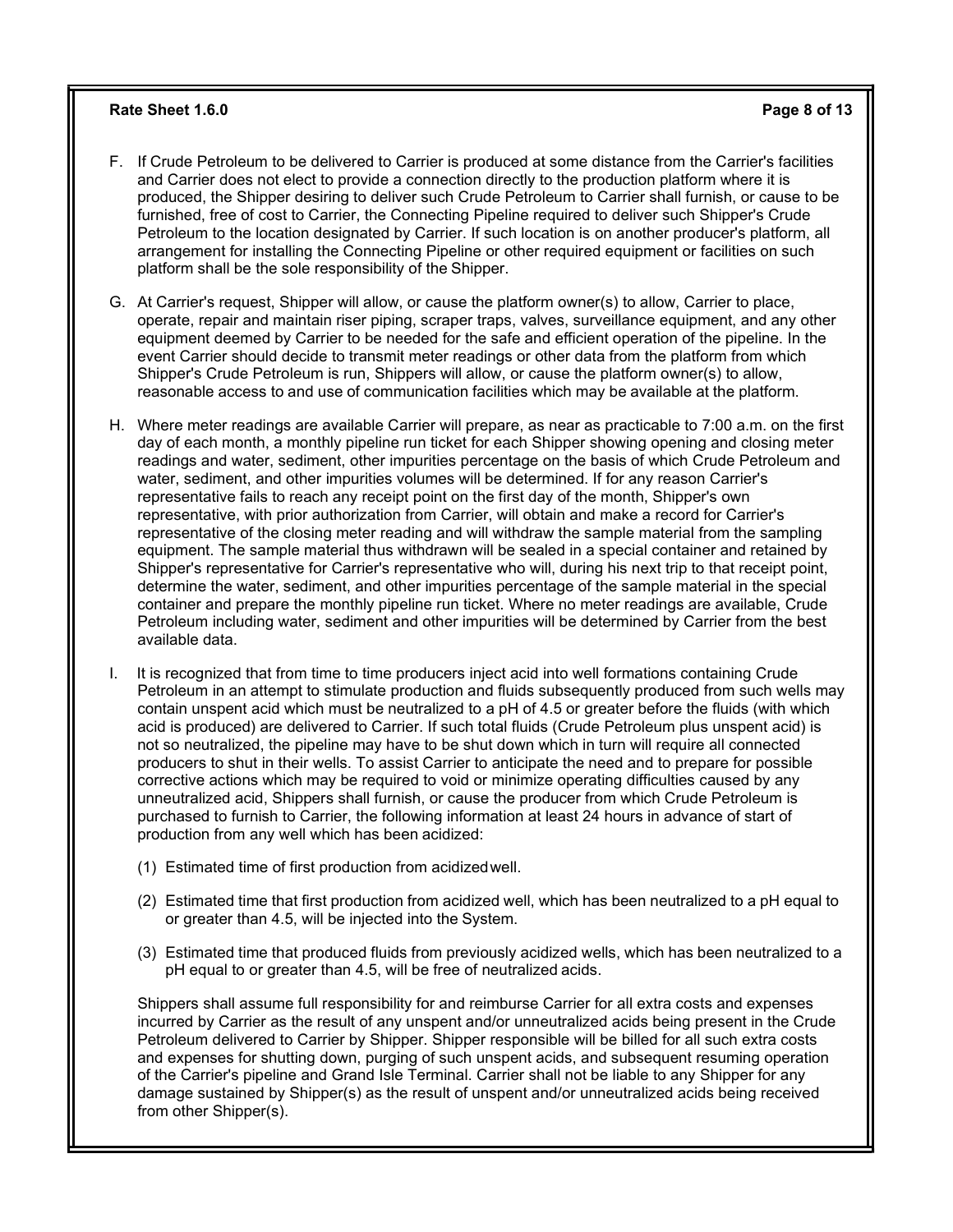#### **Rate Sheet 1.6.0 Page 8 of 13**

- F. If Crude Petroleum to be delivered to Carrier is produced at some distance from the Carrier's facilities and Carrier does not elect to provide a connection directly to the production platform where it is produced, the Shipper desiring to deliver such Crude Petroleum to Carrier shall furnish, or cause to be furnished, free of cost to Carrier, the Connecting Pipeline required to deliver such Shipper's Crude Petroleum to the location designated by Carrier. If such location is on another producer's platform, all arrangement for installing the Connecting Pipeline or other required equipment or facilities on such platform shall be the sole responsibility of the Shipper.
- G. At Carrier's request, Shipper will allow, or cause the platform owner(s) to allow, Carrier to place, operate, repair and maintain riser piping, scraper traps, valves, surveillance equipment, and any other equipment deemed by Carrier to be needed for the safe and efficient operation of the pipeline. In the event Carrier should decide to transmit meter readings or other data from the platform from which Shipper's Crude Petroleum is run, Shippers will allow, or cause the platform owner(s) to allow, reasonable access to and use of communication facilities which may be available at the platform.
- H. Where meter readings are available Carrier will prepare, as near as practicable to 7:00 a.m. on the first day of each month, a monthly pipeline run ticket for each Shipper showing opening and closing meter readings and water, sediment, other impurities percentage on the basis of which Crude Petroleum and water, sediment, and other impurities volumes will be determined. If for any reason Carrier's representative fails to reach any receipt point on the first day of the month, Shipper's own representative, with prior authorization from Carrier, will obtain and make a record for Carrier's representative of the closing meter reading and will withdraw the sample material from the sampling equipment. The sample material thus withdrawn will be sealed in a special container and retained by Shipper's representative for Carrier's representative who will, during his next trip to that receipt point, determine the water, sediment, and other impurities percentage of the sample material in the special container and prepare the monthly pipeline run ticket. Where no meter readings are available, Crude Petroleum including water, sediment and other impurities will be determined by Carrier from the best available data.
- I. It is recognized that from time to time producers inject acid into well formations containing Crude Petroleum in an attempt to stimulate production and fluids subsequently produced from such wells may contain unspent acid which must be neutralized to a pH of 4.5 or greater before the fluids (with which acid is produced) are delivered to Carrier. If such total fluids (Crude Petroleum plus unspent acid) is not so neutralized, the pipeline may have to be shut down which in turn will require all connected producers to shut in their wells. To assist Carrier to anticipate the need and to prepare for possible corrective actions which may be required to void or minimize operating difficulties caused by any unneutralized acid, Shippers shall furnish, or cause the producer from which Crude Petroleum is purchased to furnish to Carrier, the following information at least 24 hours in advance of start of production from any well which has been acidized:
	- (1) Estimated time of first production from acidizedwell.
	- (2) Estimated time that first production from acidized well, which has been neutralized to a pH equal to or greater than 4.5, will be injected into the System.
	- (3) Estimated time that produced fluids from previously acidized wells, which has been neutralized to a pH equal to or greater than 4.5, will be free of neutralized acids.

Shippers shall assume full responsibility for and reimburse Carrier for all extra costs and expenses incurred by Carrier as the result of any unspent and/or unneutralized acids being present in the Crude Petroleum delivered to Carrier by Shipper. Shipper responsible will be billed for all such extra costs and expenses for shutting down, purging of such unspent acids, and subsequent resuming operation of the Carrier's pipeline and Grand Isle Terminal. Carrier shall not be liable to any Shipper for any damage sustained by Shipper(s) as the result of unspent and/or unneutralized acids being received from other Shipper(s).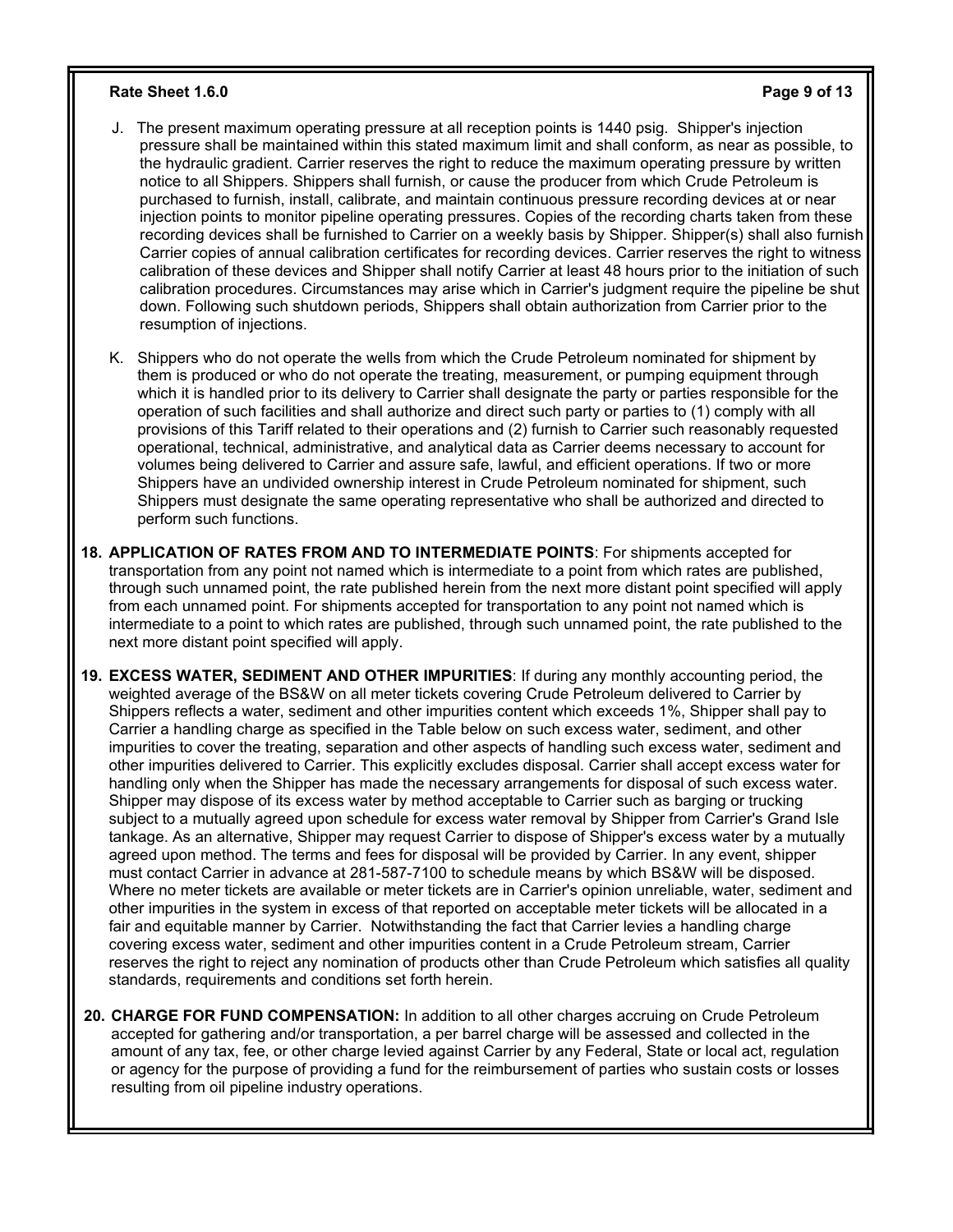#### **Rate Sheet 1.6.0 Page 9 of 13**

- J. The present maximum operating pressure at all reception points is 1440 psig. Shipper's injection pressure shall be maintained within this stated maximum limit and shall conform, as near as possible, to the hydraulic gradient. Carrier reserves the right to reduce the maximum operating pressure by written notice to all Shippers. Shippers shall furnish, or cause the producer from which Crude Petroleum is purchased to furnish, install, calibrate, and maintain continuous pressure recording devices at or near injection points to monitor pipeline operating pressures. Copies of the recording charts taken from these recording devices shall be furnished to Carrier on a weekly basis by Shipper. Shipper(s) shall also furnish Carrier copies of annual calibration certificates for recording devices. Carrier reserves the right to witness calibration of these devices and Shipper shall notify Carrier at least 48 hours prior to the initiation of such calibration procedures. Circumstances may arise which in Carrier's judgment require the pipeline be shut down. Following such shutdown periods, Shippers shall obtain authorization from Carrier prior to the resumption of injections.
- K. Shippers who do not operate the wells from which the Crude Petroleum nominated for shipment by them is produced or who do not operate the treating, measurement, or pumping equipment through which it is handled prior to its delivery to Carrier shall designate the party or parties responsible for the operation of such facilities and shall authorize and direct such party or parties to (1) comply with all provisions of this Tariff related to their operations and (2) furnish to Carrier such reasonably requested operational, technical, administrative, and analytical data as Carrier deems necessary to account for volumes being delivered to Carrier and assure safe, lawful, and efficient operations. If two or more Shippers have an undivided ownership interest in Crude Petroleum nominated for shipment, such Shippers must designate the same operating representative who shall be authorized and directed to perform such functions.
- **18. APPLICATION OF RATES FROM AND TO INTERMEDIATE POINTS**: For shipments accepted for transportation from any point not named which is intermediate to a point from which rates are published, through such unnamed point, the rate published herein from the next more distant point specified will apply from each unnamed point. For shipments accepted for transportation to any point not named which is intermediate to a point to which rates are published, through such unnamed point, the rate published to the next more distant point specified will apply.
- **19. EXCESS WATER, SEDIMENT AND OTHER IMPURITIES**: If during any monthly accounting period, the weighted average of the BS&W on all meter tickets covering Crude Petroleum delivered to Carrier by Shippers reflects a water, sediment and other impurities content which exceeds 1%, Shipper shall pay to Carrier a handling charge as specified in the Table below on such excess water, sediment, and other impurities to cover the treating, separation and other aspects of handling such excess water, sediment and other impurities delivered to Carrier. This explicitly excludes disposal. Carrier shall accept excess water for handling only when the Shipper has made the necessary arrangements for disposal of such excess water. Shipper may dispose of its excess water by method acceptable to Carrier such as barging or trucking subject to a mutually agreed upon schedule for excess water removal by Shipper from Carrier's Grand Isle tankage. As an alternative, Shipper may request Carrier to dispose of Shipper's excess water by a mutually agreed upon method. The terms and fees for disposal will be provided by Carrier. In any event, shipper must contact Carrier in advance at 281-587-7100 to schedule means by which BS&W will be disposed. Where no meter tickets are available or meter tickets are in Carrier's opinion unreliable, water, sediment and other impurities in the system in excess of that reported on acceptable meter tickets will be allocated in a fair and equitable manner by Carrier. Notwithstanding the fact that Carrier levies a handling charge covering excess water, sediment and other impurities content in a Crude Petroleum stream, Carrier reserves the right to reject any nomination of products other than Crude Petroleum which satisfies all quality standards, requirements and conditions set forth herein.
- **20. CHARGE FOR FUND COMPENSATION:** In addition to all other charges accruing on Crude Petroleum accepted for gathering and/or transportation, a per barrel charge will be assessed and collected in the amount of any tax, fee, or other charge levied against Carrier by any Federal, State or local act, regulation or agency for the purpose of providing a fund for the reimbursement of parties who sustain costs or losses resulting from oil pipeline industry operations.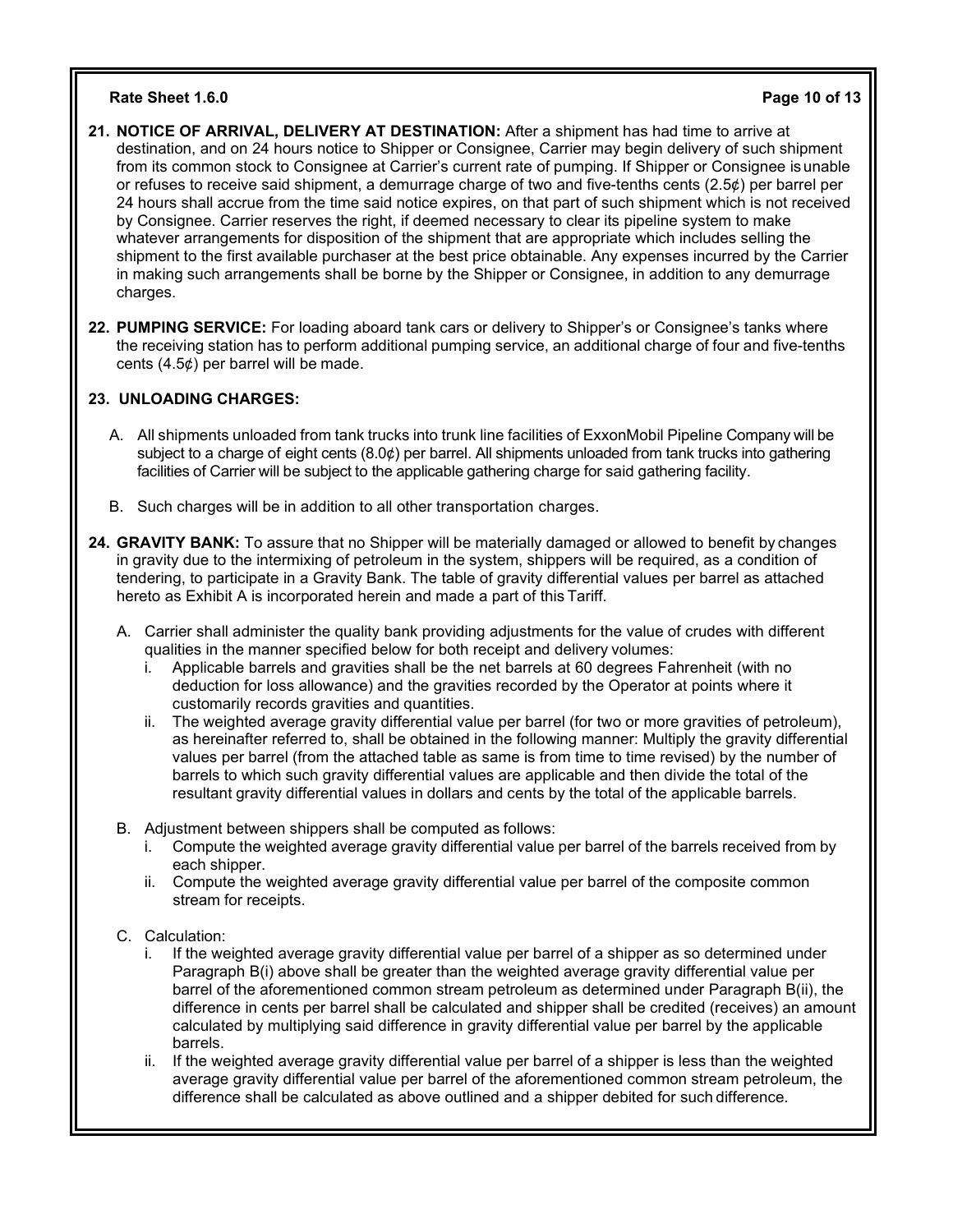### **Rate Sheet 1.6.0 Page 10 of 13**

- **21. NOTICE OF ARRIVAL, DELIVERY AT DESTINATION:** After a shipment has had time to arrive at destination, and on 24 hours notice to Shipper or Consignee, Carrier may begin delivery of such shipment from its common stock to Consignee at Carrier's current rate of pumping. If Shipper or Consignee isunable or refuses to receive said shipment, a demurrage charge of two and five-tenths cents  $(2.5¢)$  per barrel per 24 hours shall accrue from the time said notice expires, on that part of such shipment which is not received by Consignee. Carrier reserves the right, if deemed necessary to clear its pipeline system to make whatever arrangements for disposition of the shipment that are appropriate which includes selling the shipment to the first available purchaser at the best price obtainable. Any expenses incurred by the Carrier in making such arrangements shall be borne by the Shipper or Consignee, in addition to any demurrage charges.
- **22. PUMPING SERVICE:** For loading aboard tank cars or delivery to Shipper's or Consignee's tanks where the receiving station has to perform additional pumping service, an additional charge of four and five-tenths cents (4.5¢) per barrel will be made.

# **23. UNLOADING CHARGES:**

- A. All shipments unloaded from tank trucks into trunk line facilities of ExxonMobil Pipeline Company will be subject to a charge of eight cents (8.0¢) per barrel. All shipments unloaded from tank trucks into gathering facilities of Carrier will be subject to the applicable gathering charge for said gathering facility.
- B. Such charges will be in addition to all other transportation charges.
- **24. GRAVITY BANK:** To assure that no Shipper will be materially damaged or allowed to benefit by changes in gravity due to the intermixing of petroleum in the system, shippers will be required, as a condition of tendering, to participate in a Gravity Bank. The table of gravity differential values per barrel as attached hereto as Exhibit A is incorporated herein and made a part of this Tariff.
	- A. Carrier shall administer the quality bank providing adjustments for the value of crudes with different qualities in the manner specified below for both receipt and delivery volumes:
		- i. Applicable barrels and gravities shall be the net barrels at 60 degrees Fahrenheit (with no deduction for loss allowance) and the gravities recorded by the Operator at points where it customarily records gravities and quantities.
		- ii. The weighted average gravity differential value per barrel (for two or more gravities of petroleum), as hereinafter referred to, shall be obtained in the following manner: Multiply the gravity differential values per barrel (from the attached table as same is from time to time revised) by the number of barrels to which such gravity differential values are applicable and then divide the total of the resultant gravity differential values in dollars and cents by the total of the applicable barrels.
	- B. Adjustment between shippers shall be computed as follows:
		- i. Compute the weighted average gravity differential value per barrel of the barrels received from by each shipper.
		- ii. Compute the weighted average gravity differential value per barrel of the composite common stream for receipts.
	- C. Calculation:
		- i. If the weighted average gravity differential value per barrel of a shipper as so determined under Paragraph B(i) above shall be greater than the weighted average gravity differential value per barrel of the aforementioned common stream petroleum as determined under Paragraph B(ii), the difference in cents per barrel shall be calculated and shipper shall be credited (receives) an amount calculated by multiplying said difference in gravity differential value per barrel by the applicable barrels.
		- ii. If the weighted average gravity differential value per barrel of a shipper is less than the weighted average gravity differential value per barrel of the aforementioned common stream petroleum, the difference shall be calculated as above outlined and a shipper debited for such difference.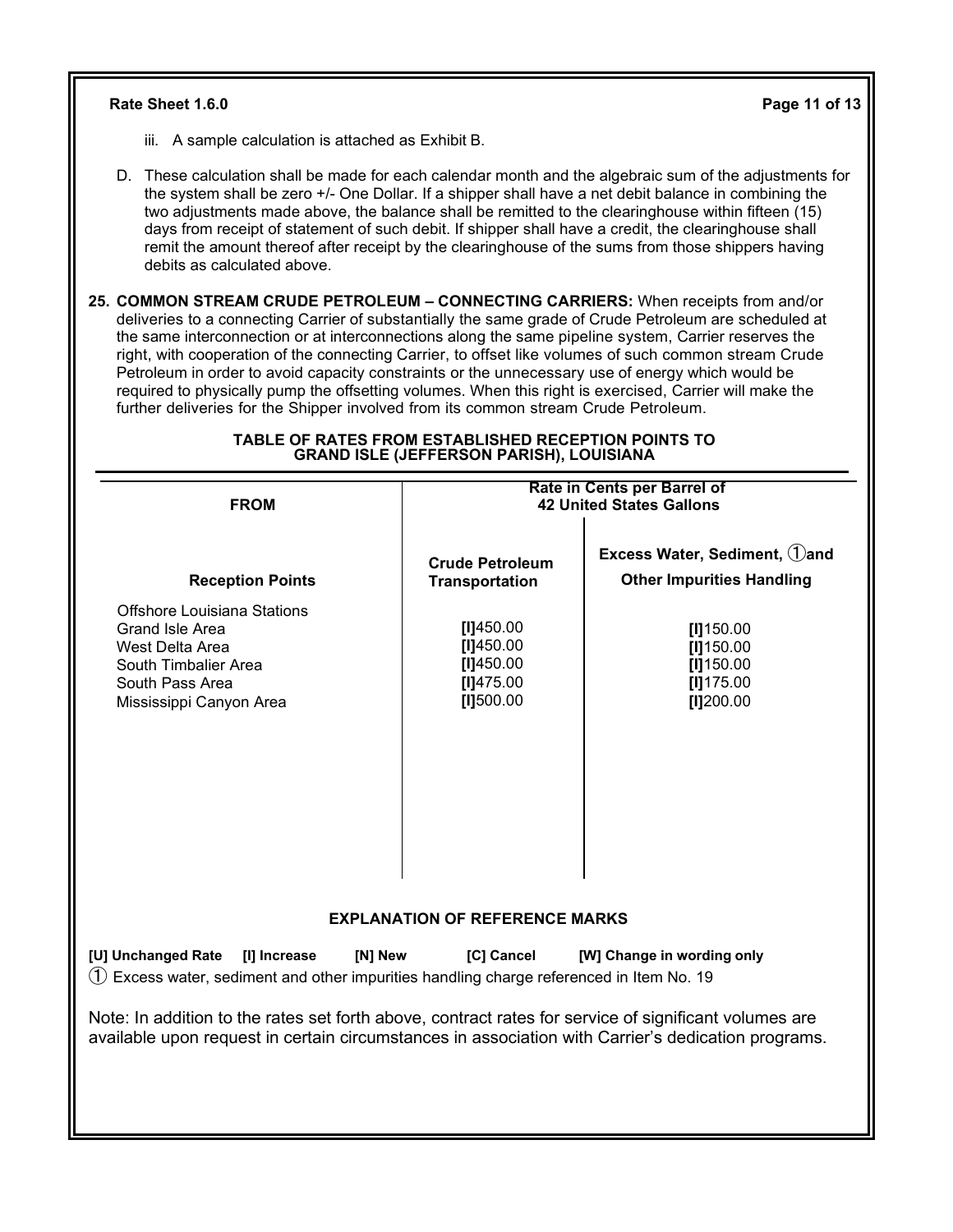# **Rate Sheet 1.6.0 Page 11 of 13**

- iii. A sample calculation is attached as Exhibit B.
- D. These calculation shall be made for each calendar month and the algebraic sum of the adjustments for the system shall be zero +/- One Dollar. If a shipper shall have a net debit balance in combining the two adjustments made above, the balance shall be remitted to the clearinghouse within fifteen (15) days from receipt of statement of such debit. If shipper shall have a credit, the clearinghouse shall remit the amount thereof after receipt by the clearinghouse of the sums from those shippers having debits as calculated above.
- **25. COMMON STREAM CRUDE PETROLEUM – CONNECTING CARRIERS:** When receipts from and/or deliveries to a connecting Carrier of substantially the same grade of Crude Petroleum are scheduled at the same interconnection or at interconnections along the same pipeline system, Carrier reserves the right, with cooperation of the connecting Carrier, to offset like volumes of such common stream Crude Petroleum in order to avoid capacity constraints or the unnecessary use of energy which would be required to physically pump the offsetting volumes. When this right is exercised, Carrier will make the further deliveries for the Shipper involved from its common stream Crude Petroleum.

| <b>FROM</b>                                                                                                                                                                                                 | Rate in Cents per Barrel of<br><b>42 United States Gallons</b> |                                                                           |  |
|-------------------------------------------------------------------------------------------------------------------------------------------------------------------------------------------------------------|----------------------------------------------------------------|---------------------------------------------------------------------------|--|
| <b>Reception Points</b>                                                                                                                                                                                     | <b>Crude Petroleum</b><br><b>Transportation</b>                | Excess Water, Sediment, 1) and<br><b>Other Impurities Handling</b>        |  |
| <b>Offshore Louisiana Stations</b><br>Grand Isle Area<br>West Delta Area<br>South Timbalier Area<br>South Pass Area<br>Mississippi Canyon Area                                                              | [1]450.00<br>[1]450.00<br>[1]450.00<br>[1]475.00<br>[I]500.00  | $[1]$ 150.00<br>$[1]$ 150.00<br>$[1]$ 150.00<br>$[1]$ 175.00<br>[1]200.00 |  |
|                                                                                                                                                                                                             | <b>EXPLANATION OF REFERENCE MARKS</b>                          |                                                                           |  |
| [U] Unchanged Rate<br>[I] Increase<br>[N] New<br>$(1)$ Excess water, sediment and other impurities handling charge referenced in Item No. 19                                                                | [C] Cancel                                                     | [W] Change in wording only                                                |  |
| Note: In addition to the rates set forth above, contract rates for service of significant volumes are<br>available upon request in certain circumstances in association with Carrier's dedication programs. |                                                                |                                                                           |  |

#### **TABLE OF RATES FROM ESTABLISHED RECEPTION POINTS TO GRAND ISLE (JEFFERSON PARISH), LOUISIANA**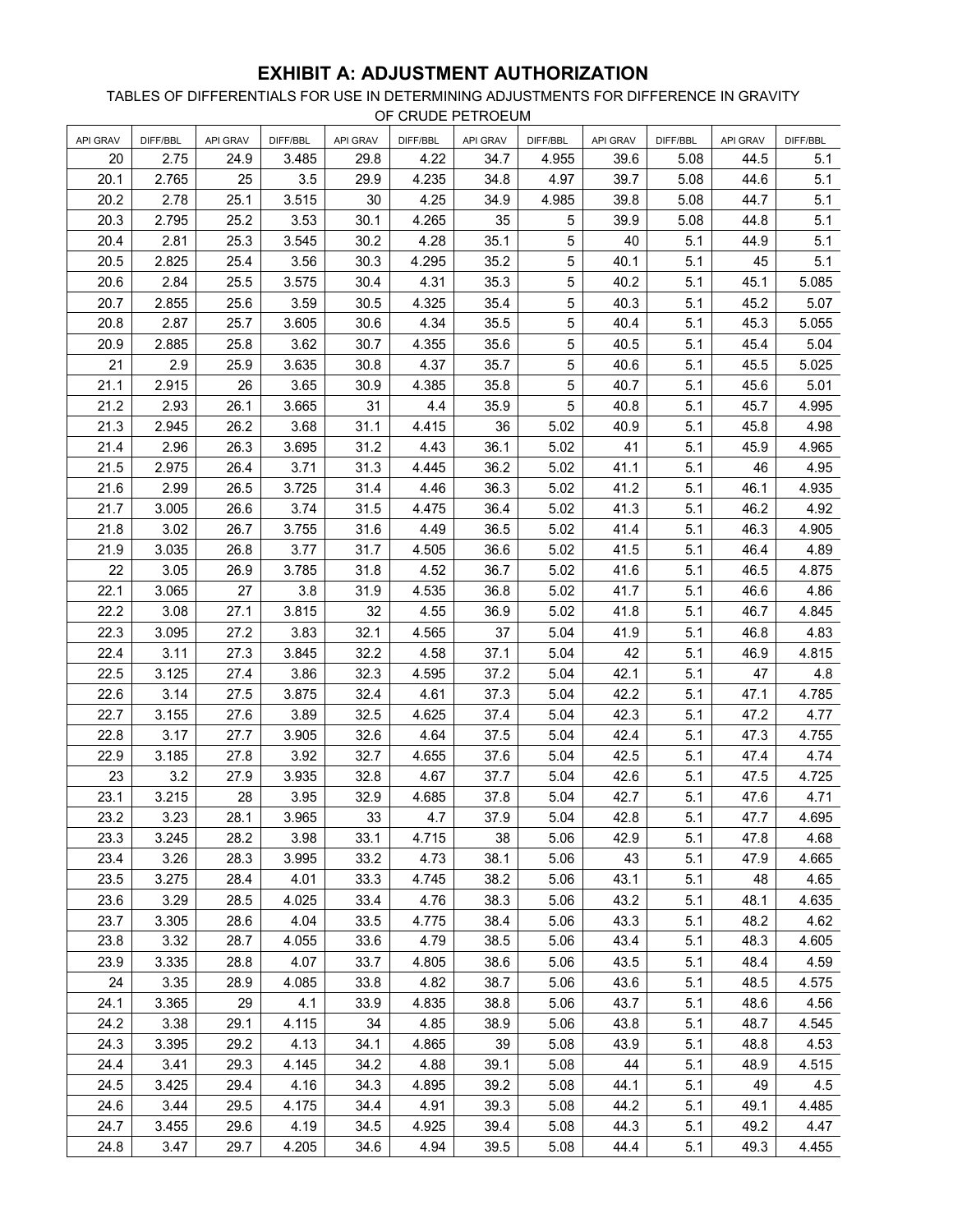# **EXHIBIT A: ADJUSTMENT AUTHORIZATION**

TABLES OF DIFFERENTIALS FOR USE IN DETERMINING ADJUSTMENTS FOR DIFFERENCE IN GRAVITY OF CRUDE PETROEUM

| <b>API GRAV</b> | DIFF/BBL | API GRAV | DIFF/BBL | <b>API GRAV</b> | DIFF/BBL | API GRAV | DIFF/BBL    | API GRAV | DIFF/BBL | <b>API GRAV</b> | DIFF/BBL |
|-----------------|----------|----------|----------|-----------------|----------|----------|-------------|----------|----------|-----------------|----------|
| 20              | 2.75     | 24.9     | 3.485    | 29.8            | 4.22     | 34.7     | 4.955       | 39.6     | 5.08     | 44.5            | 5.1      |
| 20.1            | 2.765    | 25       | 3.5      | 29.9            | 4.235    | 34.8     | 4.97        | 39.7     | 5.08     | 44.6            | 5.1      |
| 20.2            | 2.78     | 25.1     | 3.515    | 30              | 4.25     | 34.9     | 4.985       | 39.8     | 5.08     | 44.7            | 5.1      |
| 20.3            | 2.795    | 25.2     | 3.53     | 30.1            | 4.265    | 35       | $\sqrt{5}$  | 39.9     | 5.08     | 44.8            | 5.1      |
| 20.4            | 2.81     | 25.3     | 3.545    | 30.2            | 4.28     | 35.1     | 5           | 40       | 5.1      | 44.9            | 5.1      |
| 20.5            | 2.825    | 25.4     | 3.56     | 30.3            | 4.295    | 35.2     | 5           | 40.1     | 5.1      | 45              | 5.1      |
| 20.6            | 2.84     | 25.5     | 3.575    | 30.4            | 4.31     | 35.3     | $\mathbf 5$ | 40.2     | 5.1      | 45.1            | 5.085    |
| 20.7            | 2.855    | 25.6     | 3.59     | 30.5            | 4.325    | 35.4     | $\mathbf 5$ | 40.3     | 5.1      | 45.2            | 5.07     |
| 20.8            | 2.87     | 25.7     | 3.605    | 30.6            | 4.34     | 35.5     | $\sqrt{5}$  | 40.4     | 5.1      | 45.3            | 5.055    |
| 20.9            | 2.885    | 25.8     | 3.62     | 30.7            | 4.355    | 35.6     | 5           | 40.5     | 5.1      | 45.4            | 5.04     |
| 21              | 2.9      | 25.9     | 3.635    | 30.8            | 4.37     | 35.7     | $\sqrt{5}$  | 40.6     | 5.1      | 45.5            | 5.025    |
| 21.1            | 2.915    | 26       | 3.65     | 30.9            | 4.385    | 35.8     | 5           | 40.7     | 5.1      | 45.6            | 5.01     |
| 21.2            | 2.93     | 26.1     | 3.665    | 31              | 4.4      | 35.9     | 5           | 40.8     | 5.1      | 45.7            | 4.995    |
| 21.3            | 2.945    | 26.2     | 3.68     | 31.1            | 4.415    | 36       | 5.02        | 40.9     | 5.1      | 45.8            | 4.98     |
| 21.4            | 2.96     | 26.3     | 3.695    | 31.2            | 4.43     | 36.1     | 5.02        | 41       | 5.1      | 45.9            | 4.965    |
| 21.5            | 2.975    | 26.4     | 3.71     | 31.3            | 4.445    | 36.2     | 5.02        | 41.1     | 5.1      | 46              | 4.95     |
| 21.6            | 2.99     | 26.5     | 3.725    | 31.4            | 4.46     | 36.3     | 5.02        | 41.2     | 5.1      | 46.1            | 4.935    |
| 21.7            | 3.005    | 26.6     | 3.74     | 31.5            | 4.475    | 36.4     | 5.02        | 41.3     | 5.1      | 46.2            | 4.92     |
| 21.8            | 3.02     | 26.7     | 3.755    | 31.6            | 4.49     | 36.5     | 5.02        | 41.4     | 5.1      | 46.3            | 4.905    |
| 21.9            | 3.035    | 26.8     | 3.77     | 31.7            | 4.505    | 36.6     | 5.02        | 41.5     | 5.1      | 46.4            | 4.89     |
| 22              | 3.05     | 26.9     | 3.785    | 31.8            | 4.52     | 36.7     | 5.02        | 41.6     | 5.1      | 46.5            | 4.875    |
| 22.1            | 3.065    | 27       | 3.8      | 31.9            | 4.535    | 36.8     | 5.02        | 41.7     | 5.1      | 46.6            | 4.86     |
| 22.2            | 3.08     | 27.1     | 3.815    | 32              | 4.55     | 36.9     | 5.02        | 41.8     | 5.1      | 46.7            | 4.845    |
| 22.3            | 3.095    | 27.2     | 3.83     | 32.1            | 4.565    | 37       | 5.04        | 41.9     | 5.1      | 46.8            | 4.83     |
| 22.4            | 3.11     | 27.3     | 3.845    | 32.2            | 4.58     | 37.1     | 5.04        | 42       | 5.1      | 46.9            | 4.815    |
| 22.5            | 3.125    | 27.4     | 3.86     | 32.3            | 4.595    | 37.2     | 5.04        | 42.1     | 5.1      | 47              | 4.8      |
| 22.6            | 3.14     | 27.5     | 3.875    | 32.4            | 4.61     | 37.3     | 5.04        | 42.2     | 5.1      | 47.1            | 4.785    |
| 22.7            | 3.155    | 27.6     | 3.89     | 32.5            | 4.625    | 37.4     | 5.04        | 42.3     | 5.1      | 47.2            | 4.77     |
| 22.8            | 3.17     | 27.7     | 3.905    | 32.6            | 4.64     | 37.5     | 5.04        | 42.4     | 5.1      | 47.3            | 4.755    |
| 22.9            | 3.185    | 27.8     | 3.92     | 32.7            | 4.655    | 37.6     | 5.04        | 42.5     | 5.1      | 47.4            | 4.74     |
| 23              | 3.2      | 27.9     | 3.935    | 32.8            | 4.67     | 37.7     | 5.04        | 42.6     | 5.1      | 47.5            | 4.725    |
| 23.1            | 3.215    | 28       | 3.95     | 32.9            | 4.685    | 37.8     | 5.04        | 42.7     | 5.1      | 47.6            | 4.71     |
| 23.2            | 3.23     | 28.1     | 3.965    | $33\,$          | 4.7      | 37.9     | 5.04        | 42.8     | 5.1      | 47.7            | 4.695    |
| 23.3            | 3.245    | 28.2     | 3.98     | 33.1            | 4.715    | 38       | 5.06        | 42.9     | 5.1      | 47.8            | 4.68     |
| 23.4            | 3.26     | 28.3     | 3.995    | 33.2            | 4.73     | 38.1     | 5.06        | 43       | 5.1      | 47.9            | 4.665    |
| 23.5            | 3.275    | 28.4     | 4.01     | 33.3            | 4.745    | 38.2     | 5.06        | 43.1     | 5.1      | 48              | 4.65     |
| 23.6            | 3.29     | 28.5     | 4.025    | 33.4            | 4.76     | 38.3     | 5.06        | 43.2     | 5.1      | 48.1            | 4.635    |
| 23.7            | 3.305    | 28.6     | 4.04     | 33.5            | 4.775    | 38.4     | 5.06        | 43.3     | 5.1      | 48.2            | 4.62     |
| 23.8            | 3.32     | 28.7     | 4.055    | 33.6            | 4.79     | 38.5     | 5.06        | 43.4     | 5.1      | 48.3            | 4.605    |
| 23.9            | 3.335    | 28.8     | 4.07     | 33.7            | 4.805    | 38.6     | 5.06        | 43.5     | 5.1      | 48.4            | 4.59     |
| 24              | 3.35     | 28.9     | 4.085    | 33.8            | 4.82     | 38.7     | 5.06        | 43.6     | 5.1      | 48.5            | 4.575    |
| 24.1            | 3.365    | 29       | 4.1      | 33.9            | 4.835    | 38.8     | 5.06        | 43.7     | 5.1      | 48.6            | 4.56     |
| 24.2            | 3.38     | 29.1     | 4.115    | 34              | 4.85     | 38.9     | 5.06        | 43.8     | 5.1      | 48.7            | 4.545    |
| 24.3            | 3.395    | 29.2     | 4.13     | 34.1            | 4.865    | 39       | 5.08        | 43.9     | 5.1      | 48.8            | 4.53     |
| 24.4            | 3.41     | 29.3     | 4.145    | 34.2            | 4.88     | 39.1     | 5.08        | 44       | 5.1      | 48.9            | 4.515    |
| 24.5            | 3.425    | 29.4     | 4.16     | 34.3            | 4.895    | 39.2     | 5.08        | 44.1     | 5.1      | 49              | 4.5      |
| 24.6            | 3.44     | 29.5     | 4.175    | 34.4            | 4.91     | 39.3     | 5.08        | 44.2     | 5.1      | 49.1            | 4.485    |
| 24.7            | 3.455    | 29.6     | 4.19     | 34.5            | 4.925    | 39.4     | 5.08        | 44.3     | 5.1      | 49.2            | 4.47     |
| 24.8            | 3.47     | 29.7     | 4.205    | 34.6            | 4.94     | 39.5     | 5.08        | 44.4     | 5.1      | 49.3            | 4.455    |